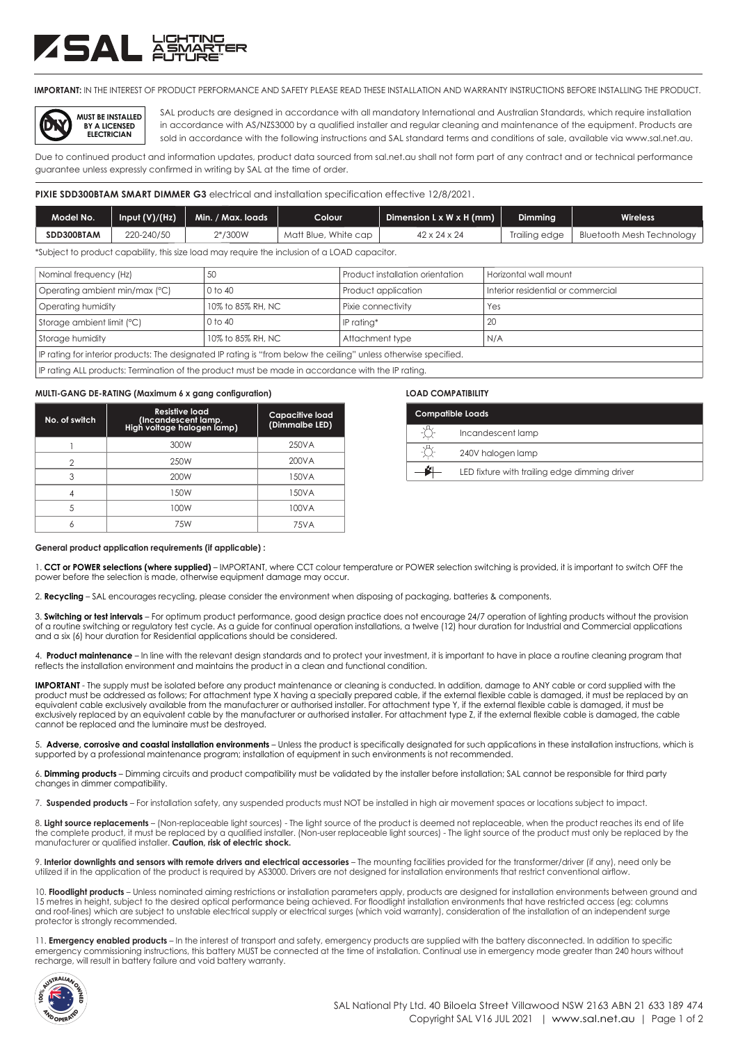# **ZSAL ASMA**

**IMPORTANT:** IN THE INTEREST OF PRODUCT PERFORMANCE AND SAFETY PLEASE READ THESE INSTALLATION AND WARRANTY INSTRUCTIONS BEFORE INSTALLING THE PRODUCT.



SAL products are designed in accordance with all mandatory International and Australian Standards, which require installation in accordance with AS/NZS3000 by a qualified installer and regular cleaning and maintenance of the equipment. Products are sold in accordance with the following instructions and SAL standard terms and conditions of sale, available via www.sal.net.au.

Due to continued product and information updates, product data sourced from sal.net.au shall not form part of any contract and or technical performance guarantee unless expressly confirmed in writing by SAL at the time of order.

#### **PIXIE SDD300BTAM SMART DIMMER G3** electrical and installation specification effective 12/8/2021.

| Model No.                                                                                    | Input $(V)/(Hz)$ | Min. / Max. loads | Colour <sup>1</sup>  | Dimension $L \times W \times H$ (mm) | <b>Dimmina</b> | <b>Wireless</b>           |
|----------------------------------------------------------------------------------------------|------------------|-------------------|----------------------|--------------------------------------|----------------|---------------------------|
| SDD300BTAM                                                                                   | 220-240/50       | $2*/300W$         | Matt Blue, White cap | $42 \times 24 \times 24$             | Trailina edae  | Bluetooth Mesh Technology |
| Subject to product capability, this size load may require the inclusion of a LOAD capacitor. |                  |                   |                      |                                      |                |                           |

| Nominal frequency (Hz)         |         | Product installation orientation | Horizontal wall mount               |
|--------------------------------|---------|----------------------------------|-------------------------------------|
| Operating ambient min/max (°C) | 0 to 40 | Product application              | I Interior residential or commercia |

| $\sim$ operalling arribierii iliinizinaa ( $\sim$ )                                                                | VIV 40            | <b>TUUUCI UPPIICUIIUIT</b> | <u>ilileilui lesiueliliul ul cultilileiciul</u> |  |
|--------------------------------------------------------------------------------------------------------------------|-------------------|----------------------------|-------------------------------------------------|--|
| Operating humidity                                                                                                 | 10% to 85% RH, NC | Pixie connectivity         | Yes                                             |  |
| Storage ambient limit (°C)                                                                                         | 0 to 40           | IP ratina*                 | 20                                              |  |
| Storage humidity                                                                                                   | 10% to 85% RH. NC | Attachment type            | N/A                                             |  |
| If Prating for interior products: The designated IP rating is "from below the ceiling" unless otherwise specified. |                   |                            |                                                 |  |
|                                                                                                                    |                   |                            |                                                 |  |

IP rating ALL products: Termination of the product must be made in accordance with the IP rating.

#### **MULTI-GANG DE-RATING (Maximum 6 x gang configuration) LOAD COMPATIBILITY**

| No. of switch | <b>Resistive load</b><br>(Incandescent lamp,<br>High voltage halogen lamp) | <b>Capacitive load</b><br>(Dimmalbe LED) |
|---------------|----------------------------------------------------------------------------|------------------------------------------|
|               | 300W                                                                       | 250VA                                    |
| っ             | 250W                                                                       | 200VA                                    |
| 3             | 200W                                                                       | 150VA                                    |
|               | 150W                                                                       | 150VA                                    |
| 5             | 100W                                                                       | 100VA                                    |
|               | 7.5W                                                                       | 7.5VA                                    |

| <b>Compatible Loads</b> |                                               |  |  |
|-------------------------|-----------------------------------------------|--|--|
|                         | Incandescent lamp                             |  |  |
|                         | 240V halogen lamp                             |  |  |
|                         | LED fixture with trailing edge dimming driver |  |  |

#### **General product application requirements (if applicable) :**

1. **CCT or POWER selections (where supplied)** – IMPORTANT, where CCT colour temperature or POWER selection switching is provided, it is important to switch OFF the power before the selection is made, otherwise equipment damage may occur.

2. **Recycling** – SAL encourages recycling, please consider the environment when disposing of packaging, batteries & components.

3. **Switching or test intervals** – For optimum product performance, good design practice does not encourage 24/7 operation of lighting products without the provision of a routine switching or regulatory test cycle. As a guide for continual operation installations, a twelve (12) hour duration for Industrial and Commercial applications and a six (6) hour duration for Residential applications should be considered.

4. **Product maintenance** – In line with the relevant design standards and to protect your investment, it is important to have in place a routine cleaning program that reflects the installation environment and maintains the product in a clean and functional condition.

**IMPORTANT** - The supply must be isolated before any product maintenance or cleaning is conducted. In addition, damage to ANY cable or cord supplied with the product must be addressed as follows; For attachment type X having a specially prepared cable, if the external flexible cable is damaged, it must be replaced by an equivalent cable exclusively available from the manufacturer or authorised installer. For attachment type Y, if the external flexible cable is damaged, it must be exclusively replaced by an equivalent cable by the manufacturer or authorised installer. For attachment type Z, if the external flexible cable is damaged, the cable cannot be replaced and the luminaire must be destroyed.

5. **Adverse, corrosive and coastal installation environments** – Unless the product is specifically designated for such applications in these installation instructions, which is supported by a professional maintenance program; installation of equipment in such environments is not recommended.

6. **Dimming products** – Dimming circuits and product compatibility must be validated by the installer before installation; SAL cannot be responsible for third party changes in dimmer compatibility.

7. **Suspended products** – For installation safety, any suspended products must NOT be installed in high air movement spaces or locations subject to impact.

8. Light source replacements - (Non-replaceable light sources) - The light source of the product is deemed not replaceable, when the product reaches its end of life the complete product, it must be replaced by a qualified installer. (Non-user replaceable light sources) - The light source of the product must only be replaced by the manufacturer or qualified installer. **Caution, risk of electric shock.**

9. Interior downlights and sensors with remote drivers and electrical accessories – The mounting facilities provided for the transformer/driver (if any), need only be utilized if in the application of the product is required by AS3000. Drivers are not designed for installation environments that restrict conventional airflow.

10. **Floodlight products** – Unless nominated aiming restrictions or installation parameters apply, products are designed for installation environments between ground and<br>15 metres in height, subject to the desired optical and roof-lines) which are subject to unstable electrical supply or electrical surges (which void warranty), consideration of the installation of an independent surge protector is strongly recommended.

11. **Emergency enabled products** – In the interest of transport and safety, emergency products are supplied with the battery disconnected. In addition to specific<br>emergency commissioning instructions, this battery MUST be recharge, will result in battery failure and void battery warranty.